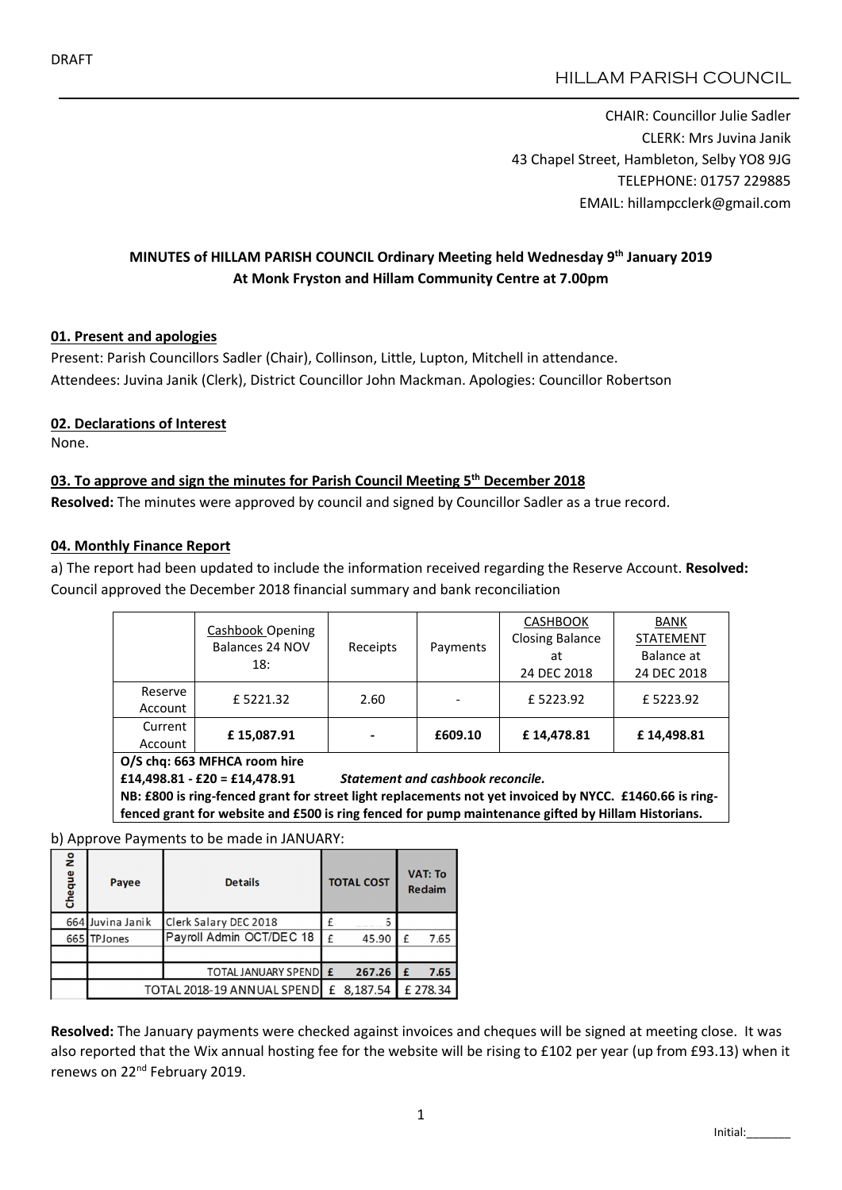# HILLAM PARISH COUNCIL

CHAIR: Councillor Julie Sadler CLERK: Mrs Juvina Janik 43 Chapel Street, Hambleton, Selby YO8 9JG TELEPHONE: 01757 229885 EMAIL: hillampcclerk@gmail.com

# MINUTES of HILLAM PARISH COUNCIL Ordinary Meeting held Wednesday 9th January 2019 At Monk Fryston and Hillam Community Centre at 7.00pm

#### 01. Present and apologies

Present: Parish Councillors Sadler (Chair), Collinson, Little, Lupton, Mitchell in attendance. Attendees: Juvina Janik (Clerk), District Councillor John Mackman. Apologies: Councillor Robertson

#### 02. Declarations of Interest

None.

### 03. To approve and sign the minutes for Parish Council Meeting  $5<sup>th</sup>$  December 2018

Resolved: The minutes were approved by council and signed by Councillor Sadler as a true record.

#### 04. Monthly Finance Report

a) The report had been updated to include the information received regarding the Reserve Account. Resolved: Council approved the December 2018 financial summary and bank reconciliation

|                    | Cashbook Opening<br>Balances 24 NOV<br>18: | Receipts                 | Payments | <b>CASHBOOK</b><br><b>Closing Balance</b><br>at<br>24 DEC 2018 | <b>BANK</b><br><b>STATEMENT</b><br>Balance at<br>24 DEC 2018 |
|--------------------|--------------------------------------------|--------------------------|----------|----------------------------------------------------------------|--------------------------------------------------------------|
| Reserve<br>Account | £5221.32                                   | 2.60                     |          | £5223.92                                                       | £5223.92                                                     |
| Current<br>Account | £15,087.91                                 | $\overline{\phantom{0}}$ | £609.10  | £14.478.81                                                     | £14,498.81                                                   |

O/S chq: 663 MFHCA room hire

£14,498.81 - £20 = £14,478.91 *Statement and cashbook reconcile.*

NB: £800 is ring-fenced grant for street light replacements not yet invoiced by NYCC. £1460.66 is ringfenced grant for website and £500 is ring fenced for pump maintenance gifted by Hillam Historians.

b) Approve Payments to be made in JANUARY:

| Cheque No | Payee                       | <b>Details</b>           | <b>TOTAL COST</b> |            | <b>VAT: To</b><br><b>Redaim</b> |          |
|-----------|-----------------------------|--------------------------|-------------------|------------|---------------------------------|----------|
|           | 664 Juvina Janik            | Clerk Salary DEC 2018    |                   |            |                                 |          |
|           | 665 TPJones                 | Payroll Admin OCT/DEC 18 | £                 | 45.90      | f                               | 7.65     |
|           |                             |                          |                   |            |                                 |          |
|           |                             | TOTAL JANUARY SPENDEE    |                   | 267.26     | £                               | 7.65     |
|           | TOTAL 2018-19 ANNUAL SPENDI |                          |                   | £ 8,187.54 |                                 | £ 278.34 |

Resolved: The January payments were checked against invoices and cheques will be signed at meeting close. It was also reported that the Wix annual hosting fee for the website will be rising to £102 per year (up from £93.13) when it renews on 22<sup>nd</sup> February 2019.